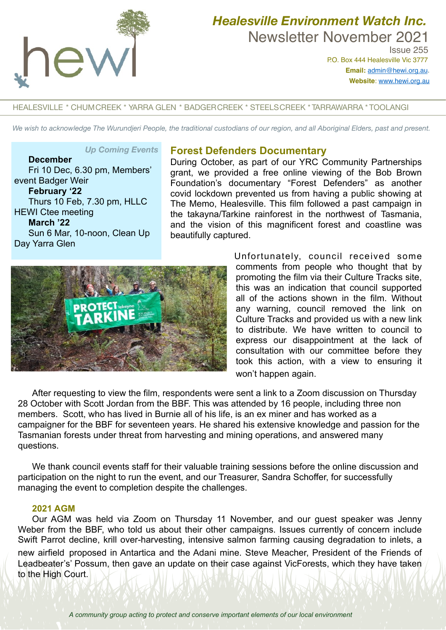

# *Healesville Environment Watch Inc.*  Newsletter November 2021

 Issue 255 P.O. Box 444 Healesville Vic 3777 **Email:** [admin@hewi.org.au](mailto:admin@hewi.org.au)**. Website**: [www.hewi.org.au](http://www.hewi.org.au)

## HEALESVILLE \* CHUMCREEK \* YARRA GLEN \* BADGERCREEK \* STEELSCREEK \* TARRAWARRA \* TOOLANGI

*We wish to acknowledge The Wurundjeri People, the traditional custodians of our region, and all Aboriginal Elders, past and present.*

#### *Up Coming Events*

**December** Fri 10 Dec, 6.30 pm, Members' event Badger Weir **February '22** Thurs 10 Feb, 7.30 pm, HLLC HEWI Ctee meeting **March '22** Sun 6 Mar, 10-noon, Clean Up Day Yarra Glen

## **Forest Defenders Documentary**

During October, as part of our YRC Community Partnerships grant, we provided a free online viewing of the Bob Brown Foundation's documentary "Forest Defenders" as another covid lockdown prevented us from having a public showing at The Memo, Healesville. This film followed a past campaign in the takayna/Tarkine rainforest in the northwest of Tasmania, and the vision of this magnificent forest and coastline was beautifully captured.



Unfortunately, council received some comments from people who thought that by promoting the film via their Culture Tracks site, this was an indication that council supported all of the actions shown in the film. Without any warning, council removed the link on Culture Tracks and provided us with a new link to distribute. We have written to council to express our disappointment at the lack of consultation with our committee before they took this action, with a view to ensuring it won't happen again.

After requesting to view the film, respondents were sent a link to a Zoom discussion on Thursday 28 October with Scott Jordan from the BBF. This was attended by 16 people, including three non members. Scott, who has lived in Burnie all of his life, is an ex miner and has worked as a campaigner for the BBF for seventeen years. He shared his extensive knowledge and passion for the Tasmanian forests under threat from harvesting and mining operations, and answered many questions.

We thank council events staff for their valuable training sessions before the online discussion and participation on the night to run the event, and our Treasurer, Sandra Schoffer, for successfully managing the event to completion despite the challenges.

## **2021 AGM**

Our AGM was held via Zoom on Thursday 11 November, and our guest speaker was Jenny Weber from the BBF, who told us about their other campaigns. Issues currently of concern include Swift Parrot decline, krill over-harvesting, intensive salmon farming causing degradation to inlets, a new airfield proposed in Antartica and the Adani mine. Steve Meacher, President of the Friends of Leadbeater's' Possum, then gave an update on their case against VicForests, which they have taken to the High Court.